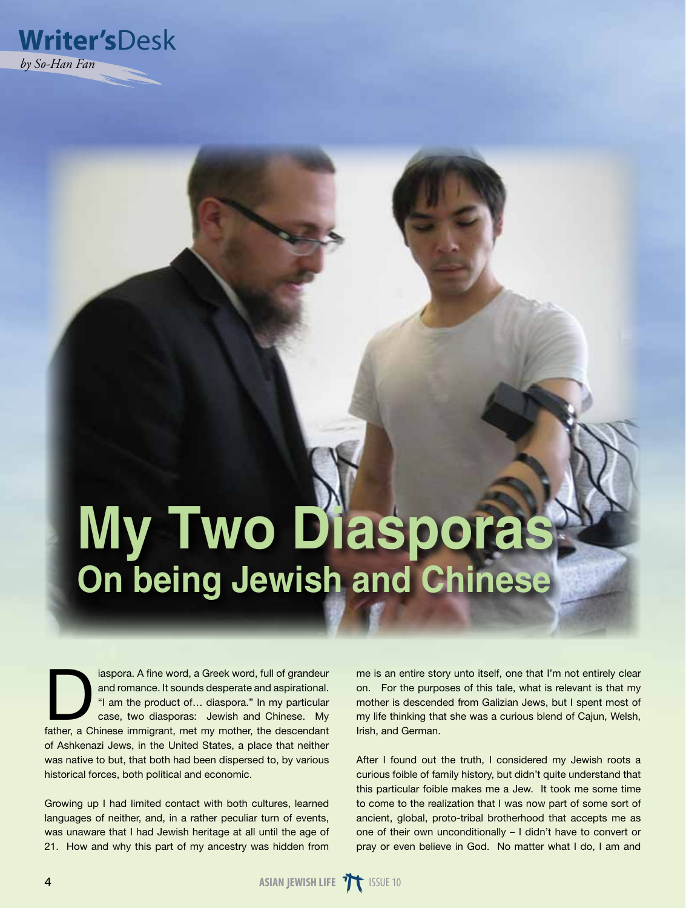

# **My Two Diasporas On being Jewish and Chinese**

iaspora. A fine word, a Greek word, full of grandeur<br>and romance. It sounds desperate and aspirational.<br>"I am the product of... diaspora." In my particular<br>case, two diasporas: Jewish and Chinese. My<br>father a Chinese immig and romance. It sounds desperate and aspirational. "I am the product of… diaspora." In my particular case, two diasporas: Jewish and Chinese. My father, a Chinese immigrant, met my mother, the descendant of Ashkenazi Jews, in the United States, a place that neither was native to but, that both had been dispersed to, by various historical forces, both political and economic.

Growing up I had limited contact with both cultures, learned languages of neither, and, in a rather peculiar turn of events, was unaware that I had Jewish heritage at all until the age of 21. How and why this part of my ancestry was hidden from me is an entire story unto itself, one that I'm not entirely clear on. For the purposes of this tale, what is relevant is that my mother is descended from Galizian Jews, but I spent most of my life thinking that she was a curious blend of Cajun, Welsh, Irish, and German.

After I found out the truth, I considered my Jewish roots a curious foible of family history, but didn't quite understand that this particular foible makes me a Jew. It took me some time to come to the realization that I was now part of some sort of ancient, global, proto-tribal brotherhood that accepts me as one of their own unconditionally – I didn't have to convert or pray or even believe in God. No matter what I do, I am and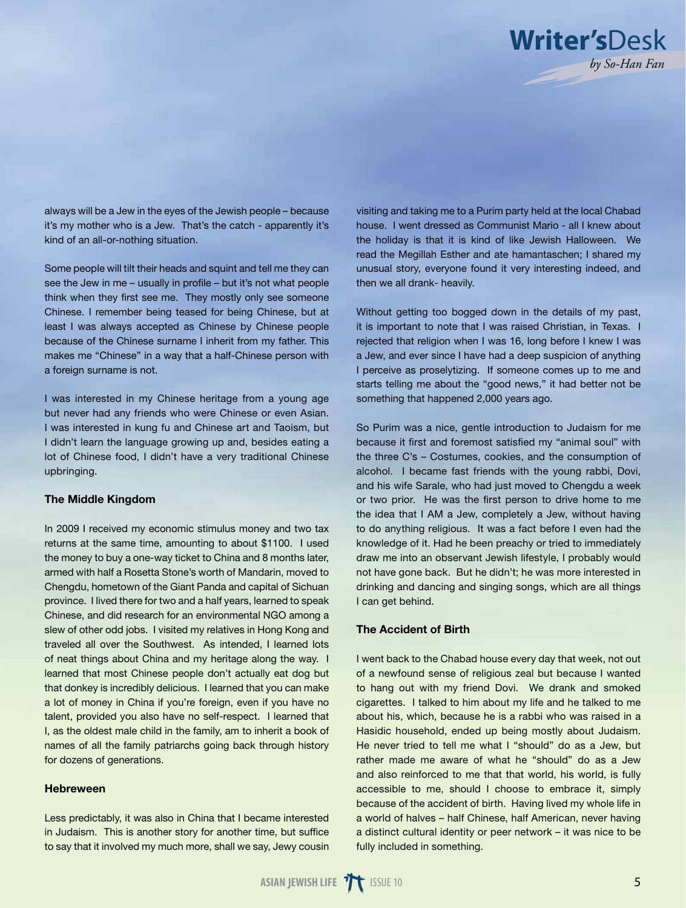

always will be a Jew in the eyes of the Jewish people – because it's my mother who is a Jew. That's the catch - apparently it's kind of an all-or-nothing situation.

Some people will tilt their heads and squint and tell me they can see the Jew in me – usually in profile – but it's not what people think when they first see me. They mostly only see someone Chinese. I remember being teased for being Chinese, but at least I was always accepted as Chinese by Chinese people because of the Chinese surname I inherit from my father. This makes me "Chinese" in a way that a half-Chinese person with a foreign surname is not.

I was interested in my Chinese heritage from a young age but never had any friends who were Chinese or even Asian. I was interested in kung fu and Chinese art and Taoism, but I didn't learn the language growing up and, besides eating a lot of Chinese food, I didn't have a very traditional Chinese upbringing.

## The Middle Kingdom

In 2009 I received my economic stimulus money and two tax returns at the same time, amounting to about \$1100. I used the money to buy a one-way ticket to China and 8 months later, armed with half a Rosetta Stone's worth of Mandarin, moved to Chengdu, hometown of the Giant Panda and capital of Sichuan province. I lived there for two and a half years, learned to speak Chinese, and did research for an environmental NGO among a slew of other odd jobs. I visited my relatives in Hong Kong and traveled all over the Southwest. As intended, I learned lots of neat things about China and my heritage along the way. I learned that most Chinese people don't actually eat dog but that donkey is incredibly delicious. I learned that you can make a lot of money in China if you're foreign, even if you have no talent, provided you also have no self-respect. I learned that I, as the oldest male child in the family, am to inherit a book of names of all the family patriarchs going back through history for dozens of generations.

## Hebreween

Less predictably, it was also in China that I became interested in Judaism. This is another story for another time, but suffice to say that it involved my much more, shall we say, Jewy cousin visiting and taking me to a Purim party held at the local Chabad house. I went dressed as Communist Mario - all I knew about the holiday is that it is kind of like Jewish Halloween. We read the Megillah Esther and ate hamantaschen; I shared my unusual story, everyone found it very interesting indeed, and then we all drank- heavily.

Without getting too bogged down in the details of my past, it is important to note that I was raised Christian, in Texas. I rejected that religion when I was 16, long before I knew I was a Jew, and ever since I have had a deep suspicion of anything I perceive as proselytizing. If someone comes up to me and starts telling me about the "good news," it had better not be something that happened 2,000 years ago.

So Purim was a nice, gentle introduction to Judaism for me because it first and foremost satisfied my "animal soul" with the three C's – Costumes, cookies, and the consumption of alcohol. I became fast friends with the young rabbi, Dovi, and his wife Sarale, who had just moved to Chengdu a week or two prior. He was the first person to drive home to me the idea that I AM a Jew, completely a Jew, without having to do anything religious. It was a fact before I even had the knowledge of it. Had he been preachy or tried to immediately draw me into an observant Jewish lifestyle, I probably would not have gone back. But he didn't; he was more interested in drinking and dancing and singing songs, which are all things I can get behind.

## The Accident of Birth

I went back to the Chabad house every day that week, not out of a newfound sense of religious zeal but because I wanted to hang out with my friend Dovi. We drank and smoked cigarettes. I talked to him about my life and he talked to me about his, which, because he is a rabbi who was raised in a Hasidic household, ended up being mostly about Judaism. He never tried to tell me what I "should" do as a Jew, but rather made me aware of what he "should" do as a Jew and also reinforced to me that that world, his world, is fully accessible to me, should I choose to embrace it, simply because of the accident of birth. Having lived my whole life in a world of halves – half Chinese, half American, never having a distinct cultural identity or peer network – it was nice to be fully included in something.